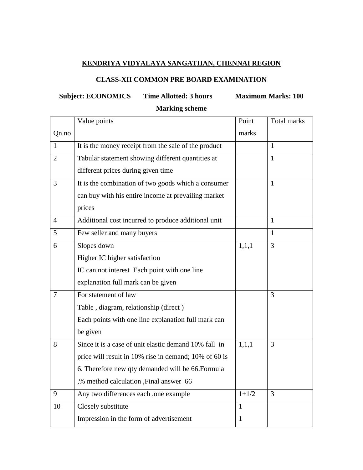## **KENDRIYA VIDYALAYA SANGATHAN, CHENNAI REGION**

## **CLASS-XII COMMON PRE BOARD EXAMINATION**

## Subject: ECONOMICS Time Allotted: 3 hours Maximum Marks: 100 **Marking scheme**

|                | Value points                                          | Point        | Total marks    |
|----------------|-------------------------------------------------------|--------------|----------------|
| Qn.no          |                                                       | marks        |                |
| $\mathbf{1}$   | It is the money receipt from the sale of the product  |              | $\mathbf{1}$   |
| 2              | Tabular statement showing different quantities at     |              | $\mathbf{1}$   |
|                | different prices during given time                    |              |                |
| 3              | It is the combination of two goods which a consumer   |              | 1              |
|                | can buy with his entire income at prevailing market   |              |                |
|                | prices                                                |              |                |
| $\overline{4}$ | Additional cost incurred to produce additional unit   |              | 1              |
| 5              | Few seller and many buyers                            |              | 1              |
| 6              | Slopes down                                           | 1,1,1        | 3              |
|                | Higher IC higher satisfaction                         |              |                |
|                | IC can not interest Each point with one line          |              |                |
|                | explanation full mark can be given                    |              |                |
| $\overline{7}$ | For statement of law                                  |              | 3              |
|                | Table, diagram, relationship (direct)                 |              |                |
|                | Each points with one line explanation full mark can   |              |                |
|                | be given                                              |              |                |
| 8              | Since it is a case of unit elastic demand 10% fall in | 1,1,1        | 3              |
|                | price will result in 10% rise in demand; 10% of 60 is |              |                |
|                | 6. Therefore new qty demanded will be 66. Formula     |              |                |
|                | % method calculation , Final answer 66                |              |                |
| 9              | Any two differences each ,one example                 | $1 + 1/2$    | $\overline{3}$ |
| 10             | Closely substitute                                    | $\mathbf{1}$ |                |
|                | Impression in the form of advertisement               | $\mathbf{1}$ |                |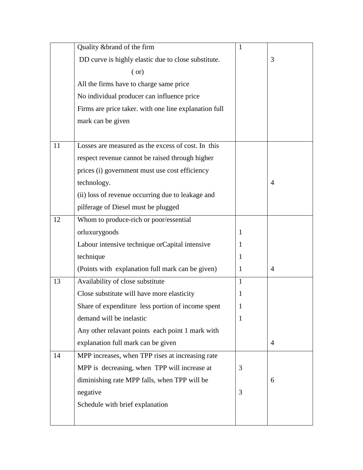|    | Quality & brand of the firm                           | $\mathbf{1}$ |                |
|----|-------------------------------------------------------|--------------|----------------|
|    | DD curve is highly elastic due to close substitute.   |              | 3              |
|    | $($ or $)$                                            |              |                |
|    | All the firms have to charge same price               |              |                |
|    | No individual producer can influence price            |              |                |
|    | Firms are price taker. with one line explanation full |              |                |
|    | mark can be given                                     |              |                |
|    |                                                       |              |                |
| 11 | Losses are measured as the excess of cost. In this    |              |                |
|    | respect revenue cannot be raised through higher       |              |                |
|    | prices (i) government must use cost efficiency        |              |                |
|    | technology.                                           |              | $\overline{4}$ |
|    | (ii) loss of revenue occurring due to leakage and     |              |                |
|    | pilferage of Diesel must be plugged                   |              |                |
| 12 | Whom to produce-rich or poor/essential                |              |                |
|    | orluxurygoods                                         | $\mathbf{1}$ |                |
|    | Labour intensive technique or Capital intensive       | $\mathbf{1}$ |                |
|    | technique                                             | $\mathbf{1}$ |                |
|    | (Points with explanation full mark can be given)      | $\mathbf{1}$ | $\overline{4}$ |
| 13 | Availability of close substitute                      | 1            |                |
|    | Close substitute will have more elasticity            | 1            |                |
|    | Share of expenditure less portion of income spent     |              |                |
|    | demand will be inelastic                              | $\mathbf{1}$ |                |
|    | Any other relavant points each point 1 mark with      |              |                |
|    | explanation full mark can be given                    |              | $\overline{4}$ |
| 14 | MPP increases, when TPP rises at increasing rate      |              |                |
|    | MPP is decreasing, when TPP will increase at          | 3            |                |
|    | diminishing rate MPP falls, when TPP will be          |              | 6              |
|    | negative                                              | 3            |                |
|    | Schedule with brief explanation                       |              |                |
|    |                                                       |              |                |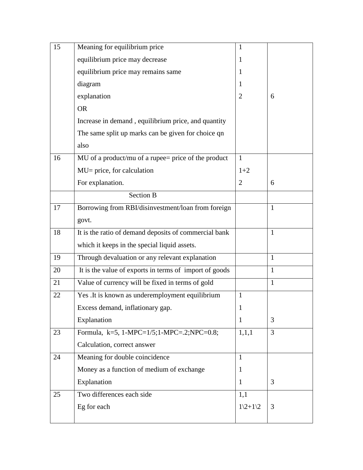| 15 | Meaning for equilibrium price                          | $\mathbf{1}$     |              |
|----|--------------------------------------------------------|------------------|--------------|
|    | equilibrium price may decrease                         | $\mathbf{1}$     |              |
|    | equilibrium price may remains same                     | $\mathbf{1}$     |              |
|    | diagram                                                | $\mathbf{1}$     |              |
|    | explanation                                            | $\overline{2}$   | 6            |
|    | <b>OR</b>                                              |                  |              |
|    | Increase in demand, equilibrium price, and quantity    |                  |              |
|    | The same split up marks can be given for choice qn     |                  |              |
|    | also                                                   |                  |              |
| 16 | MU of a product/mu of a rupee= price of the product    | $\mathbf{1}$     |              |
|    | MU= price, for calculation                             | $1+2$            |              |
|    | For explanation.                                       | $\overline{2}$   | 6            |
|    | <b>Section B</b>                                       |                  |              |
| 17 | Borrowing from RBI/disinvestment/loan from foreign     |                  | $\mathbf{1}$ |
|    | govt.                                                  |                  |              |
| 18 | It is the ratio of demand deposits of commercial bank  |                  | $\mathbf{1}$ |
|    | which it keeps in the special liquid assets.           |                  |              |
| 19 | Through devaluation or any relevant explanation        |                  | $\mathbf{1}$ |
| 20 | It is the value of exports in terms of import of goods |                  | $\mathbf{1}$ |
| 21 | Value of currency will be fixed in terms of gold       |                  | $\mathbf{1}$ |
| 22 | Yes .It is known as underemployment equilibrium        | $\mathbf{1}$     |              |
|    | Excess demand, inflationary gap.                       | 1                |              |
|    | Explanation                                            | $\mathbf{1}$     | 3            |
| 23 | Formula, k=5, 1-MPC=1/5;1-MPC=.2;NPC=0.8;              | 1,1,1            | 3            |
|    | Calculation, correct answer                            |                  |              |
| 24 | Meaning for double coincidence                         | $\mathbf{1}$     |              |
|    | Money as a function of medium of exchange              | 1                |              |
|    | Explanation                                            | $\mathbf{1}$     | 3            |
| 25 | Two differences each side                              | 1,1              |              |
|    | Eg for each                                            | $1\frac{2+1}{2}$ | 3            |
|    |                                                        |                  |              |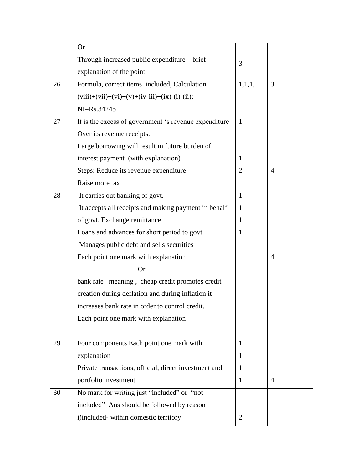|    | <b>Or</b>                                             |                |                |
|----|-------------------------------------------------------|----------------|----------------|
|    | Through increased public expenditure – brief          | 3              |                |
|    | explanation of the point                              |                |                |
| 26 | Formula, correct items included, Calculation          | 1,1,1,         | 3              |
|    | $(viii)+(vii)+(vi)+(v)+(iv-iii)+(ix)-(i)-(ii);$       |                |                |
|    | NI=Rs.34245                                           |                |                |
| 27 | It is the excess of government 's revenue expenditure | 1              |                |
|    | Over its revenue receipts.                            |                |                |
|    | Large borrowing will result in future burden of       |                |                |
|    | interest payment (with explanation)                   | 1              |                |
|    | Steps: Reduce its revenue expenditure                 | $\overline{2}$ | $\overline{4}$ |
|    | Raise more tax                                        |                |                |
| 28 | It carries out banking of govt.                       | $\mathbf{1}$   |                |
|    | It accepts all receipts and making payment in behalf  | 1              |                |
|    | of govt. Exchange remittance                          | 1              |                |
|    | Loans and advances for short period to govt.          | 1              |                |
|    | Manages public debt and sells securities              |                |                |
|    | Each point one mark with explanation                  |                | $\overline{4}$ |
|    | <b>Or</b>                                             |                |                |
|    | bank rate -meaning, cheap credit promotes credit      |                |                |
|    | creation during deflation and during inflation it     |                |                |
|    | increases bank rate in order to control credit.       |                |                |
|    | Each point one mark with explanation                  |                |                |
|    |                                                       |                |                |
| 29 | Four components Each point one mark with              | 1              |                |
|    | explanation                                           | 1              |                |
|    | Private transactions, official, direct investment and | 1              |                |
|    | portfolio investment                                  | 1              | $\overline{4}$ |
| 30 | No mark for writing just "included" or "not           |                |                |
|    | included" Ans should be followed by reason            |                |                |
|    | i)included-within domestic territory                  | $\overline{2}$ |                |